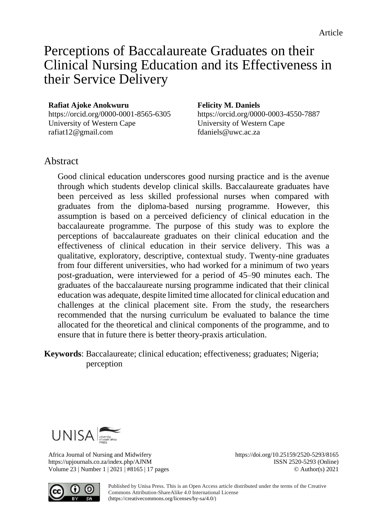# Perceptions of Baccalaureate Graduates on their Clinical Nursing Education and its Effectiveness in their Service Delivery

#### **Rafiat Ajoke Anokwuru**

<https://orcid.org/0000-0001-8565-6305> University of Western Cape [rafiat12@gmail.com](mailto:rafiat12@gmail.com)

#### **Felicity M. Daniels**

<https://orcid.org/0000-0003-4550-7887> University of Western Cape [fdaniels@uwc.ac.za](mailto:fdaniels@uwc.ac.za)

# **Abstract**

Good clinical education underscores good nursing practice and is the avenue through which students develop clinical skills. Baccalaureate graduates have been perceived as less skilled professional nurses when compared with graduates from the diploma-based nursing programme. However, this assumption is based on a perceived deficiency of clinical education in the baccalaureate programme. The purpose of this study was to explore the perceptions of baccalaureate graduates on their clinical education and the effectiveness of clinical education in their service delivery. This was a qualitative, exploratory, descriptive, contextual study. Twenty-nine graduates from four different universities, who had worked for a minimum of two years post-graduation, were interviewed for a period of 45–90 minutes each. The graduates of the baccalaureate nursing programme indicated that their clinical education was adequate, despite limited time allocated for clinical education and challenges at the clinical placement site. From the study, the researchers recommended that the nursing curriculum be evaluated to balance the time allocated for the theoretical and clinical components of the programme, and to ensure that in future there is better theory-praxis articulation.

**Keywords**: Baccalaureate; clinical education; effectiveness; graduates; Nigeria; perception



Africa Journal of Nursing and Midwifery https://doi.org/10.25159/2520-5293/8165 https://upjournals.co.za/index.php/AJNM ISSN 2520-5293 (Online) Volume 23 | Number 1 | 2021 | #8165 | 17 pages © Author(s) 2021



Published by Unisa Press. This is an Open Access article distributed under the terms of the Creative Commons Attribution-ShareAlike 4.0 International License [\(https://creativecommons.org/licenses/by-sa/4.0/\)](https://creativecommons.org/licenses/by-sa/4.0/)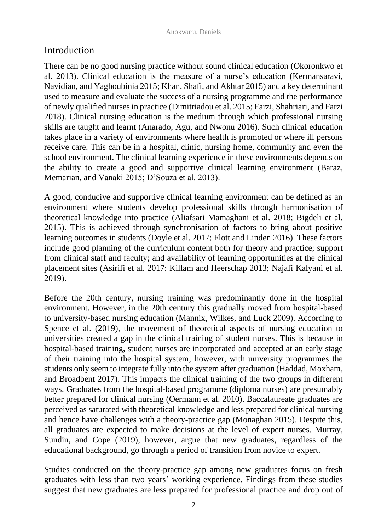# Introduction

There can be no good nursing practice without sound clinical education (Okoronkwo et al. 2013). Clinical education is the measure of a nurse's education (Kermansaravi, Navidian, and Yaghoubinia 2015; Khan, Shafi, and Akhtar 2015) and a key determinant used to measure and evaluate the success of a nursing programme and the performance of newly qualified nurses in practice (Dimitriadou et al. 2015; Farzi, Shahriari, and Farzi 2018). Clinical nursing education is the medium through which professional nursing skills are taught and learnt (Anarado, Agu, and Nwonu 2016). Such clinical education takes place in a variety of environments where health is promoted or where ill persons receive care. This can be in a hospital, clinic, nursing home, community and even the school environment. The clinical learning experience in these environments depends on the ability to create a good and supportive clinical learning environment (Baraz, Memarian, and Vanaki 2015; D'Souza et al. 2013).

A good, conducive and supportive clinical learning environment can be defined as an environment where students develop professional skills through harmonisation of theoretical knowledge into practice (Aliafsari Mamaghani et al. 2018; Bigdeli et al. 2015). This is achieved through synchronisation of factors to bring about positive learning outcomes in students (Doyle et al. 2017; Flott and Linden 2016). These factors include good planning of the curriculum content both for theory and practice; support from clinical staff and faculty; and availability of learning opportunities at the clinical placement sites (Asirifi et al. 2017; Killam and Heerschap 2013; Najafi Kalyani et al. 2019).

Before the 20th century, nursing training was predominantly done in the hospital environment. However, in the 20th century this gradually moved from hospital-based to university-based nursing education (Mannix, Wilkes, and Luck 2009). According to Spence et al. (2019), the movement of theoretical aspects of nursing education to universities created a gap in the clinical training of student nurses. This is because in hospital-based training, student nurses are incorporated and accepted at an early stage of their training into the hospital system; however, with university programmes the students only seem to integrate fully into the system after graduation (Haddad, Moxham, and Broadbent 2017). This impacts the clinical training of the two groups in different ways. Graduates from the hospital-based programme (diploma nurses) are presumably better prepared for clinical nursing (Oermann et al. 2010). Baccalaureate graduates are perceived as saturated with theoretical knowledge and less prepared for clinical nursing and hence have challenges with a theory-practice gap (Monaghan 2015). Despite this, all graduates are expected to make decisions at the level of expert nurses. Murray, Sundin, and Cope (2019), however, argue that new graduates, regardless of the educational background, go through a period of transition from novice to expert.

Studies conducted on the theory-practice gap among new graduates focus on fresh graduates with less than two years' working experience. Findings from these studies suggest that new graduates are less prepared for professional practice and drop out of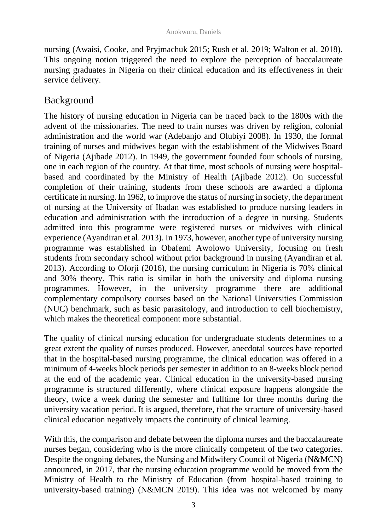nursing (Awaisi, Cooke, and Pryjmachuk 2015; Rush et al. 2019; Walton et al. 2018). This ongoing notion triggered the need to explore the perception of baccalaureate nursing graduates in Nigeria on their clinical education and its effectiveness in their service delivery.

# Background

The history of nursing education in Nigeria can be traced back to the 1800s with the advent of the missionaries. The need to train nurses was driven by religion, colonial administration and the world war (Adebanjo and Olubiyi 2008). In 1930, the formal training of nurses and midwives began with the establishment of the Midwives Board of Nigeria (Ajibade 2012). In 1949, the government founded four schools of nursing, one in each region of the country. At that time, most schools of nursing were hospitalbased and coordinated by the Ministry of Health (Ajibade 2012). On successful completion of their training, students from these schools are awarded a diploma certificate in nursing. In 1962, to improve the status of nursing in society, the department of nursing at the University of Ibadan was established to produce nursing leaders in education and administration with the introduction of a degree in nursing. Students admitted into this programme were registered nurses or midwives with clinical experience (Ayandiran et al. 2013). In 1973, however, another type of university nursing programme was established in Obafemi Awolowo University, focusing on fresh students from secondary school without prior background in nursing (Ayandiran et al. 2013). According to Oforji (2016), the nursing curriculum in Nigeria is 70% clinical and 30% theory. This ratio is similar in both the university and diploma nursing programmes. However, in the university programme there are additional complementary compulsory courses based on the National Universities Commission (NUC) benchmark, such as basic parasitology, and introduction to cell biochemistry, which makes the theoretical component more substantial.

The quality of clinical nursing education for undergraduate students determines to a great extent the quality of nurses produced. However, anecdotal sources have reported that in the hospital-based nursing programme, the clinical education was offered in a minimum of 4-weeks block periods per semester in addition to an 8-weeks block period at the end of the academic year. Clinical education in the university-based nursing programme is structured differently, where clinical exposure happens alongside the theory, twice a week during the semester and fulltime for three months during the university vacation period. It is argued, therefore, that the structure of university-based clinical education negatively impacts the continuity of clinical learning.

With this, the comparison and debate between the diploma nurses and the baccalaureate nurses began, considering who is the more clinically competent of the two categories. Despite the ongoing debates, the Nursing and Midwifery Council of Nigeria (N&MCN) announced, in 2017, that the nursing education programme would be moved from the Ministry of Health to the Ministry of Education (from hospital-based training to university-based training) (N&MCN 2019). This idea was not welcomed by many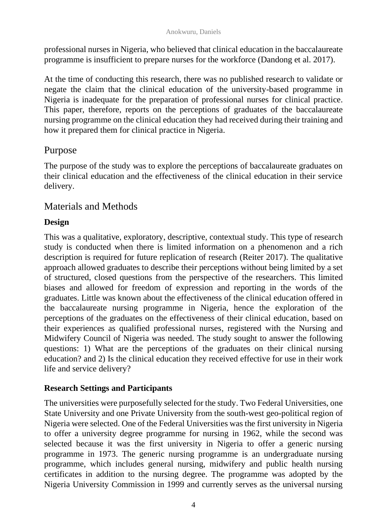professional nurses in Nigeria, who believed that clinical education in the baccalaureate programme is insufficient to prepare nurses for the workforce (Dandong et al. 2017).

At the time of conducting this research, there was no published research to validate or negate the claim that the clinical education of the university-based programme in Nigeria is inadequate for the preparation of professional nurses for clinical practice. This paper, therefore, reports on the perceptions of graduates of the baccalaureate nursing programme on the clinical education they had received during their training and how it prepared them for clinical practice in Nigeria.

# Purpose

The purpose of the study was to explore the perceptions of baccalaureate graduates on their clinical education and the effectiveness of the clinical education in their service delivery.

# Materials and Methods

## **Design**

This was a qualitative, exploratory, descriptive, contextual study. This type of research study is conducted when there is limited information on a phenomenon and a rich description is required for future replication of research (Reiter 2017). The qualitative approach allowed graduates to describe their perceptions without being limited by a set of structured, closed questions from the perspective of the researchers. This limited biases and allowed for freedom of expression and reporting in the words of the graduates. Little was known about the effectiveness of the clinical education offered in the baccalaureate nursing programme in Nigeria, hence the exploration of the perceptions of the graduates on the effectiveness of their clinical education, based on their experiences as qualified professional nurses, registered with the Nursing and Midwifery Council of Nigeria was needed. The study sought to answer the following questions: 1) What are the perceptions of the graduates on their clinical nursing education? and 2) Is the clinical education they received effective for use in their work life and service delivery?

## **Research Settings and Participants**

The universities were purposefully selected for the study. Two Federal Universities, one State University and one Private University from the south-west geo-political region of Nigeria were selected. One of the Federal Universities was the first university in Nigeria to offer a university degree programme for nursing in 1962, while the second was selected because it was the first university in Nigeria to offer a generic nursing programme in 1973. The generic nursing programme is an undergraduate nursing programme, which includes general nursing, midwifery and public health nursing certificates in addition to the nursing degree. The programme was adopted by the Nigeria University Commission in 1999 and currently serves as the universal nursing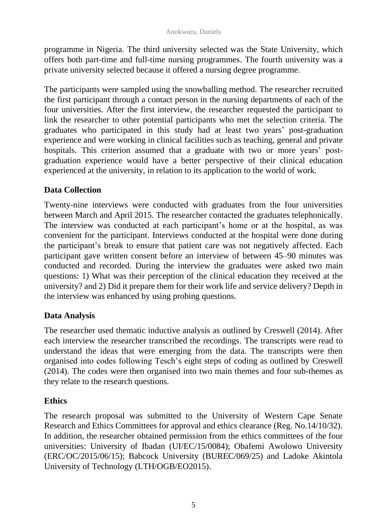programme in Nigeria. The third university selected was the State University, which offers both part-time and full-time nursing programmes. The fourth university was a private university selected because it offered a nursing degree programme.

The participants were sampled using the snowballing method. The researcher recruited the first participant through a contact person in the nursing departments of each of the four universities. After the first interview, the researcher requested the participant to link the researcher to other potential participants who met the selection criteria. The graduates who participated in this study had at least two years' post-graduation experience and were working in clinical facilities such as teaching, general and private hospitals. This criterion assumed that a graduate with two or more years' postgraduation experience would have a better perspective of their clinical education experienced at the university, in relation to its application to the world of work.

#### **Data Collection**

Twenty-nine interviews were conducted with graduates from the four universities between March and April 2015. The researcher contacted the graduates telephonically. The interview was conducted at each participant's home or at the hospital, as was convenient for the participant. Interviews conducted at the hospital were done during the participant's break to ensure that patient care was not negatively affected. Each participant gave written consent before an interview of between 45–90 minutes was conducted and recorded. During the interview the graduates were asked two main questions: 1) What was their perception of the clinical education they received at the university? and 2) Did it prepare them for their work life and service delivery? Depth in the interview was enhanced by using probing questions.

#### **Data Analysis**

The researcher used thematic inductive analysis as outlined by Creswell (2014). After each interview the researcher transcribed the recordings. The transcripts were read to understand the ideas that were emerging from the data. The transcripts were then organised into codes following Tesch's eight steps of coding as outlined by Creswell (2014). The codes were then organised into two main themes and four sub-themes as they relate to the research questions.

#### **Ethics**

The research proposal was submitted to the University of Western Cape Senate Research and Ethics Committees for approval and ethics clearance (Reg. No.14/10/32). In addition, the researcher obtained permission from the ethics committees of the four universities: University of Ibadan (UI/EC/15/0084); Obafemi Awolowo University (ERC/OC/2015/06/15); Babcock University (BUREC/069/25) and Ladoke Akintola University of Technology (LTH/OGB/EO2015).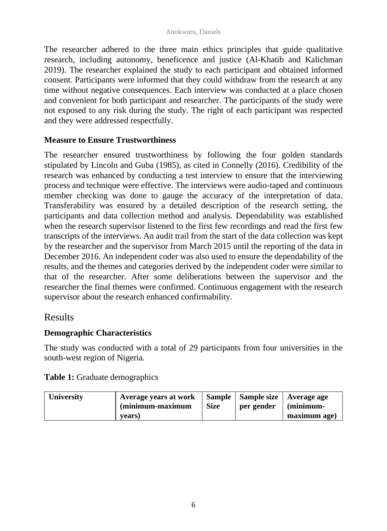The researcher adhered to the three main ethics principles that guide qualitative research, including autonomy, beneficence and justice (Al-Khatib and Kalichman 2019). The researcher explained the study to each participant and obtained informed consent. Participants were informed that they could withdraw from the research at any time without negative consequences. Each interview was conducted at a place chosen and convenient for both participant and researcher. The participants of the study were not exposed to any risk during the study. The right of each participant was respected and they were addressed respectfully.

#### **Measure to Ensure Trustworthiness**

The researcher ensured trustworthiness by following the four golden standards stipulated by Lincoln and Guba (1985), as cited in Connelly (2016). Credibility of the research was enhanced by conducting a test interview to ensure that the interviewing process and technique were effective. The interviews were audio-taped and continuous member checking was done to gauge the accuracy of the interpretation of data. Transferability was ensured by a detailed description of the research setting, the participants and data collection method and analysis. Dependability was established when the research supervisor listened to the first few recordings and read the first few transcripts of the interviews. An audit trail from the start of the data collection was kept by the researcher and the supervisor from March 2015 until the reporting of the data in December 2016. An independent coder was also used to ensure the dependability of the results, and the themes and categories derived by the independent coder were similar to that of the researcher. After some deliberations between the supervisor and the researcher the final themes were confirmed. Continuous engagement with the research supervisor about the research enhanced confirmability.

## Results

#### **Demographic Characteristics**

The study was conducted with a total of 29 participants from four universities in the south-west region of Nigeria.

| Table 1: Graduate demographics |  |
|--------------------------------|--|
|--------------------------------|--|

| <b>University</b> | Average years at work<br>(minimum-maximum | <b>Size</b> | per gender | Sample   Sample size   Average age<br>(minimum- |
|-------------------|-------------------------------------------|-------------|------------|-------------------------------------------------|
|                   | years)                                    |             |            | maximum age)                                    |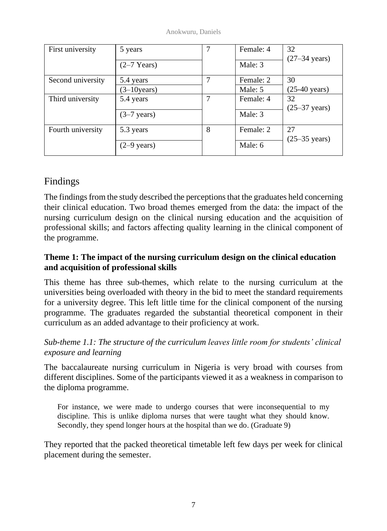Anokwuru, Daniels

| First university  | 5 years               |   | Female: 4 | 32<br>$(27-34 \text{ years})$ |
|-------------------|-----------------------|---|-----------|-------------------------------|
|                   | $(2-7$ Years)         |   | Male: 3   |                               |
| Second university | 5.4 years             |   | Female: 2 | 30                            |
|                   | $(3-10)$ years)       |   | Male: 5   | $(25-40 \text{ years})$       |
| Third university  | 5.4 years             | ⇁ | Female: 4 | 32                            |
|                   |                       |   |           | $(25-37 \text{ years})$       |
|                   | $(3-7 \text{ years})$ |   | Male: 3   |                               |
| Fourth university | 5.3 years             | 8 | Female: 2 | 27                            |
|                   |                       |   |           | $(25-35 \text{ years})$       |
|                   | $(2-9 \text{ years})$ |   | Male: 6   |                               |

# Findings

The findings from the study described the perceptions that the graduates held concerning their clinical education. Two broad themes emerged from the data: the impact of the nursing curriculum design on the clinical nursing education and the acquisition of professional skills; and factors affecting quality learning in the clinical component of the programme.

## **Theme 1: The impact of the nursing curriculum design on the clinical education and acquisition of professional skills**

This theme has three sub-themes, which relate to the nursing curriculum at the universities being overloaded with theory in the bid to meet the standard requirements for a university degree. This left little time for the clinical component of the nursing programme. The graduates regarded the substantial theoretical component in their curriculum as an added advantage to their proficiency at work.

# *Sub-theme 1.1: The structure of the curriculum leaves little room for students' clinical exposure and learning*

The baccalaureate nursing curriculum in Nigeria is very broad with courses from different disciplines. Some of the participants viewed it as a weakness in comparison to the diploma programme.

For instance, we were made to undergo courses that were inconsequential to my discipline. This is unlike diploma nurses that were taught what they should know. Secondly, they spend longer hours at the hospital than we do. (Graduate 9)

They reported that the packed theoretical timetable left few days per week for clinical placement during the semester.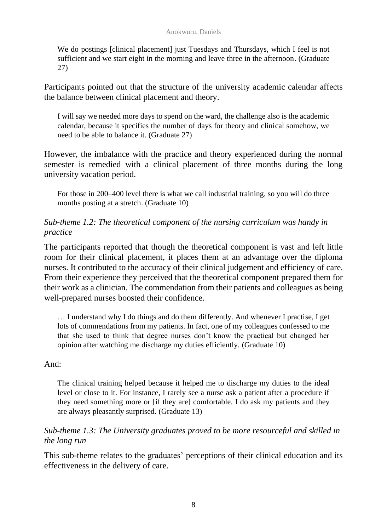We do postings [clinical placement] just Tuesdays and Thursdays, which I feel is not sufficient and we start eight in the morning and leave three in the afternoon. (Graduate 27)

Participants pointed out that the structure of the university academic calendar affects the balance between clinical placement and theory.

I will say we needed more days to spend on the ward, the challenge also is the academic calendar, because it specifies the number of days for theory and clinical somehow, we need to be able to balance it. (Graduate 27)

However, the imbalance with the practice and theory experienced during the normal semester is remedied with a clinical placement of three months during the long university vacation period.

For those in 200–400 level there is what we call industrial training, so you will do three months posting at a stretch. (Graduate 10)

#### *Sub-theme 1.2: The theoretical component of the nursing curriculum was handy in practice*

The participants reported that though the theoretical component is vast and left little room for their clinical placement, it places them at an advantage over the diploma nurses. It contributed to the accuracy of their clinical judgement and efficiency of care. From their experience they perceived that the theoretical component prepared them for their work as a clinician. The commendation from their patients and colleagues as being well-prepared nurses boosted their confidence.

… I understand why I do things and do them differently. And whenever I practise, I get lots of commendations from my patients. In fact, one of my colleagues confessed to me that she used to think that degree nurses don't know the practical but changed her opinion after watching me discharge my duties efficiently. (Graduate 10)

#### And:

The clinical training helped because it helped me to discharge my duties to the ideal level or close to it. For instance, I rarely see a nurse ask a patient after a procedure if they need something more or [if they are] comfortable. I do ask my patients and they are always pleasantly surprised. (Graduate 13)

#### *Sub-theme 1.3: The University graduates proved to be more resourceful and skilled in the long run*

This sub-theme relates to the graduates' perceptions of their clinical education and its effectiveness in the delivery of care.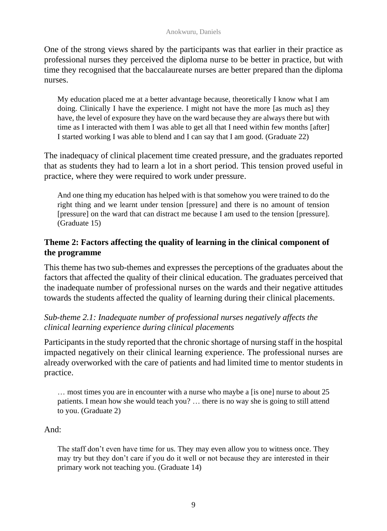One of the strong views shared by the participants was that earlier in their practice as professional nurses they perceived the diploma nurse to be better in practice, but with time they recognised that the baccalaureate nurses are better prepared than the diploma nurses.

My education placed me at a better advantage because, theoretically I know what I am doing. Clinically I have the experience. I might not have the more [as much as] they have, the level of exposure they have on the ward because they are always there but with time as I interacted with them I was able to get all that I need within few months [after] I started working I was able to blend and I can say that I am good. (Graduate 22)

The inadequacy of clinical placement time created pressure, and the graduates reported that as students they had to learn a lot in a short period. This tension proved useful in practice, where they were required to work under pressure.

And one thing my education has helped with is that somehow you were trained to do the right thing and we learnt under tension [pressure] and there is no amount of tension [pressure] on the ward that can distract me because I am used to the tension [pressure]. (Graduate 15)

## **Theme 2: Factors affecting the quality of learning in the clinical component of the programme**

This theme has two sub-themes and expresses the perceptions of the graduates about the factors that affected the quality of their clinical education. The graduates perceived that the inadequate number of professional nurses on the wards and their negative attitudes towards the students affected the quality of learning during their clinical placements.

## *Sub-theme 2.1: Inadequate number of professional nurses negatively affects the clinical learning experience during clinical placements*

Participants in the study reported that the chronic shortage of nursing staff in the hospital impacted negatively on their clinical learning experience. The professional nurses are already overworked with the care of patients and had limited time to mentor students in practice.

… most times you are in encounter with a nurse who maybe a [is one] nurse to about 25 patients. I mean how she would teach you? … there is no way she is going to still attend to you. (Graduate 2)

And:

The staff don't even have time for us. They may even allow you to witness once. They may try but they don't care if you do it well or not because they are interested in their primary work not teaching you. (Graduate 14)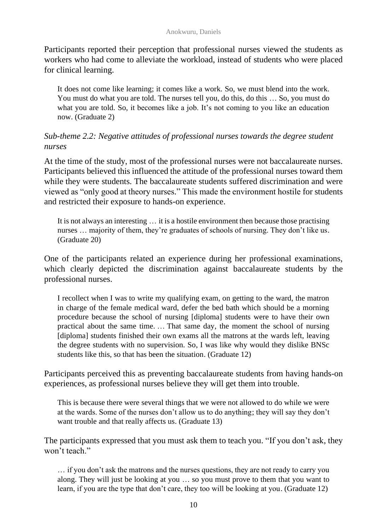Participants reported their perception that professional nurses viewed the students as workers who had come to alleviate the workload, instead of students who were placed for clinical learning.

It does not come like learning; it comes like a work. So, we must blend into the work. You must do what you are told. The nurses tell you, do this, do this ... So, you must do what you are told. So, it becomes like a job. It's not coming to you like an education now. (Graduate 2)

#### *Sub-theme 2.2: Negative attitudes of professional nurses towards the degree student nurses*

At the time of the study, most of the professional nurses were not baccalaureate nurses. Participants believed this influenced the attitude of the professional nurses toward them while they were students. The baccalaureate students suffered discrimination and were viewed as "only good at theory nurses." This made the environment hostile for students and restricted their exposure to hands-on experience.

It is not always an interesting … it is a hostile environment then because those practising nurses … majority of them, they're graduates of schools of nursing. They don't like us. (Graduate 20)

One of the participants related an experience during her professional examinations, which clearly depicted the discrimination against baccalaureate students by the professional nurses.

I recollect when I was to write my qualifying exam, on getting to the ward, the matron in charge of the female medical ward, defer the bed bath which should be a morning procedure because the school of nursing [diploma] students were to have their own practical about the same time. … That same day, the moment the school of nursing [diploma] students finished their own exams all the matrons at the wards left, leaving the degree students with no supervision. So, I was like why would they dislike BNSc students like this, so that has been the situation. (Graduate 12)

Participants perceived this as preventing baccalaureate students from having hands-on experiences, as professional nurses believe they will get them into trouble.

This is because there were several things that we were not allowed to do while we were at the wards. Some of the nurses don't allow us to do anything; they will say they don't want trouble and that really affects us. (Graduate 13)

The participants expressed that you must ask them to teach you. "If you don't ask, they won't teach."

… if you don't ask the matrons and the nurses questions, they are not ready to carry you along. They will just be looking at you … so you must prove to them that you want to learn, if you are the type that don't care, they too will be looking at you. (Graduate 12)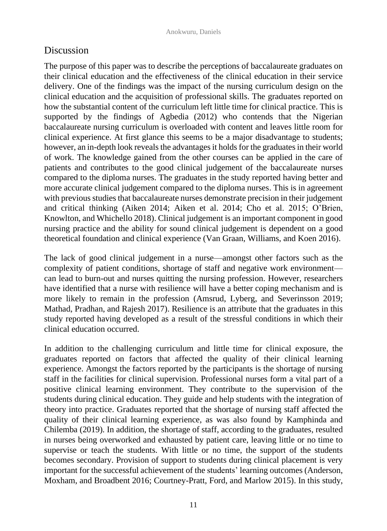# Discussion

The purpose of this paper was to describe the perceptions of baccalaureate graduates on their clinical education and the effectiveness of the clinical education in their service delivery. One of the findings was the impact of the nursing curriculum design on the clinical education and the acquisition of professional skills. The graduates reported on how the substantial content of the curriculum left little time for clinical practice. This is supported by the findings of Agbedia (2012) who contends that the Nigerian baccalaureate nursing curriculum is overloaded with content and leaves little room for clinical experience. At first glance this seems to be a major disadvantage to students; however, an in-depth look reveals the advantages it holds for the graduates in their world of work. The knowledge gained from the other courses can be applied in the care of patients and contributes to the good clinical judgement of the baccalaureate nurses compared to the diploma nurses. The graduates in the study reported having better and more accurate clinical judgement compared to the diploma nurses. This is in agreement with previous studies that baccalaureate nurses demonstrate precision in their judgement and critical thinking (Aiken 2014; Aiken et al. 2014; Cho et al. 2015; O'Brien, Knowlton, and Whichello 2018). Clinical judgement is an important component in good nursing practice and the ability for sound clinical judgement is dependent on a good theoretical foundation and clinical experience (Van Graan, Williams, and Koen 2016).

The lack of good clinical judgement in a nurse—amongst other factors such as the complexity of patient conditions, shortage of staff and negative work environment can lead to burn-out and nurses quitting the nursing profession. However, researchers have identified that a nurse with resilience will have a better coping mechanism and is more likely to remain in the profession (Amsrud, Lyberg, and Severinsson 2019; Mathad, Pradhan, and Rajesh 2017). Resilience is an attribute that the graduates in this study reported having developed as a result of the stressful conditions in which their clinical education occurred.

In addition to the challenging curriculum and little time for clinical exposure, the graduates reported on factors that affected the quality of their clinical learning experience. Amongst the factors reported by the participants is the shortage of nursing staff in the facilities for clinical supervision. Professional nurses form a vital part of a positive clinical learning environment. They contribute to the supervision of the students during clinical education. They guide and help students with the integration of theory into practice. Graduates reported that the shortage of nursing staff affected the quality of their clinical learning experience, as was also found by Kamphinda and Chilemba (2019). In addition, the shortage of staff, according to the graduates, resulted in nurses being overworked and exhausted by patient care, leaving little or no time to supervise or teach the students. With little or no time, the support of the students becomes secondary. Provision of support to students during clinical placement is very important for the successful achievement of the students' learning outcomes (Anderson, Moxham, and Broadbent 2016; Courtney-Pratt, Ford, and Marlow 2015). In this study,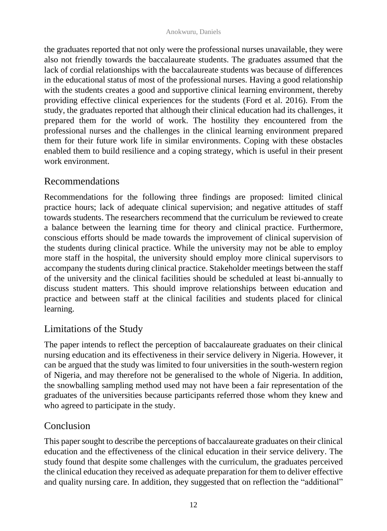the graduates reported that not only were the professional nurses unavailable, they were also not friendly towards the baccalaureate students. The graduates assumed that the lack of cordial relationships with the baccalaureate students was because of differences in the educational status of most of the professional nurses. Having a good relationship with the students creates a good and supportive clinical learning environment, thereby providing effective clinical experiences for the students (Ford et al. 2016). From the study, the graduates reported that although their clinical education had its challenges, it prepared them for the world of work. The hostility they encountered from the professional nurses and the challenges in the clinical learning environment prepared them for their future work life in similar environments. Coping with these obstacles enabled them to build resilience and a coping strategy, which is useful in their present work environment.

# Recommendations

Recommendations for the following three findings are proposed: limited clinical practice hours; lack of adequate clinical supervision; and negative attitudes of staff towards students. The researchers recommend that the curriculum be reviewed to create a balance between the learning time for theory and clinical practice. Furthermore, conscious efforts should be made towards the improvement of clinical supervision of the students during clinical practice. While the university may not be able to employ more staff in the hospital, the university should employ more clinical supervisors to accompany the students during clinical practice. Stakeholder meetings between the staff of the university and the clinical facilities should be scheduled at least bi-annually to discuss student matters. This should improve relationships between education and practice and between staff at the clinical facilities and students placed for clinical learning.

# Limitations of the Study

The paper intends to reflect the perception of baccalaureate graduates on their clinical nursing education and its effectiveness in their service delivery in Nigeria. However, it can be argued that the study was limited to four universities in the south-western region of Nigeria, and may therefore not be generalised to the whole of Nigeria. In addition, the snowballing sampling method used may not have been a fair representation of the graduates of the universities because participants referred those whom they knew and who agreed to participate in the study.

# Conclusion

This paper sought to describe the perceptions of baccalaureate graduates on their clinical education and the effectiveness of the clinical education in their service delivery. The study found that despite some challenges with the curriculum, the graduates perceived the clinical education they received as adequate preparation for them to deliver effective and quality nursing care. In addition, they suggested that on reflection the "additional"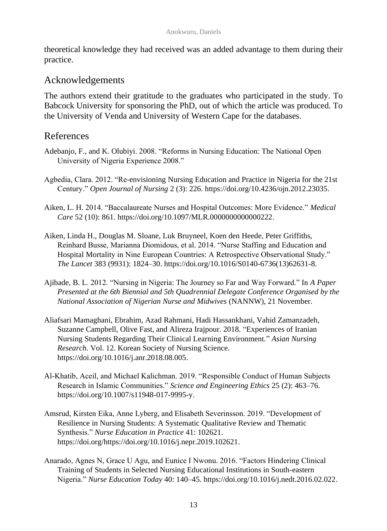theoretical knowledge they had received was an added advantage to them during their practice.

## Acknowledgements

The authors extend their gratitude to the graduates who participated in the study. To Babcock University for sponsoring the PhD, out of which the article was produced. To the University of Venda and University of Western Cape for the databases.

## References

- Adebanjo, F., and K. Olubiyi. 2008. "Reforms in Nursing Education: The National Open University of Nigeria Experience 2008."
- Agbedia, Clara. 2012. "Re-envisioning Nursing Education and Practice in Nigeria for the 21st Century." *Open Journal of Nursing* 2 (3): 226. [https://doi.org/10.4236/ojn.2012.23035.](https://doi.org/10.4236/ojn.2012.23035)
- Aiken, L. H. 2014. "Baccalaureate Nurses and Hospital Outcomes: More Evidence." *Medical Care* 52 (10): 861. [https://doi.org/10.1097/MLR.0000000000000222.](https://doi.org/10.1097/MLR.0000000000000222)
- Aiken, Linda H., Douglas M. Sloane, Luk Bruyneel, Koen den Heede, Peter Griffiths, Reinhard Busse, Marianna Diomidous, et al. 2014. "Nurse Staffing and Education and Hospital Mortality in Nine European Countries: A Retrospective Observational Study." *The Lancet* 383 (9931): 1824–30. [https://doi.org/10.1016/S0140-6736\(13\)62631-8.](https://doi.org/10.1016/S0140-6736(13)62631-8)
- Ajibade, B. L. 2012. "Nursing in Nigeria: The Journey so Far and Way Forward." In *A Paper Presented at the 6th Biennial and 5th Quadrennial Delegate Conference Organised by the National Association of Nigerian Nurse and Midwives* (NANNW), 21 November.
- Aliafsari Mamaghani, Ebrahim, Azad Rahmani, Hadi Hassankhani, Vahid Zamanzadeh, Suzanne Campbell, Olive Fast, and Alireza Irajpour. 2018. "Experiences of Iranian Nursing Students Regarding Their Clinical Learning Environment." *Asian Nursing Research*. Vol. 12. Korean Society of Nursing Science. [https://doi.org/10.1016/j.anr.2018.08.005.](https://doi.org/10.1016/j.anr.2018.08.005)
- Al-Khatib, Aceil, and Michael Kalichman. 2019. "Responsible Conduct of Human Subjects Research in Islamic Communities." *Science and Engineering Ethics* 25 (2): 463–76. [https://doi.org/10.1007/s11948-017-9995-y.](https://doi.org/10.1007/s11948-017-9995-y)
- Amsrud, Kirsten Eika, Anne Lyberg, and Elisabeth Severinsson. 2019. "Development of Resilience in Nursing Students: A Systematic Qualitative Review and Thematic Synthesis." *Nurse Education in Practice* 41: 102621. [https://doi.org/https://doi.org/10.1016/j.nepr.2019.102621.](https://doi.org/https:/doi.org/10.1016/j.nepr.2019.102621)
- Anarado, Agnes N, Grace U Agu, and Eunice I Nwonu. 2016. "Factors Hindering Clinical Training of Students in Selected Nursing Educational Institutions in South-eastern Nigeria." *Nurse Education Today* 40: 140–45. [https://doi.org/10.1016/j.nedt.2016.02.022.](https://doi.org/10.1016/j.nedt.2016.02.022)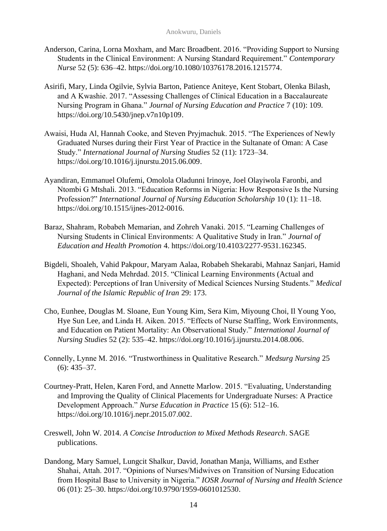- Anderson, Carina, Lorna Moxham, and Marc Broadbent. 2016. "Providing Support to Nursing Students in the Clinical Environment: A Nursing Standard Requirement." *Contemporary Nurse* 52 (5): 636–42[. https://doi.org/10.1080/10376178.2016.1215774.](https://doi.org/10.1080/10376178.2016.1215774)
- Asirifi, Mary, Linda Ogilvie, Sylvia Barton, Patience Aniteye, Kent Stobart, Olenka Bilash, and A Kwashie. 2017. "Assessing Challenges of Clinical Education in a Baccalaureate Nursing Program in Ghana." *Journal of Nursing Education and Practice* 7 (10): 109. [https://doi.org/10.5430/jnep.v7n10p109.](https://doi.org/10.5430/jnep.v7n10p109)
- Awaisi, Huda Al, Hannah Cooke, and Steven Pryjmachuk. 2015. "The Experiences of Newly Graduated Nurses during their First Year of Practice in the Sultanate of Oman: A Case Study." *International Journal of Nursing Studies* 52 (11): 1723–34. [https://doi.org/10.1016/j.ijnurstu.2015.06.009.](https://doi.org/10.1016/j.ijnurstu.2015.06.009)
- Ayandiran, Emmanuel Olufemi, Omolola Oladunni Irinoye, Joel Olayiwola Faronbi, and Ntombi G Mtshali. 2013. "Education Reforms in Nigeria: How Responsive Is the Nursing Profession?" *International Journal of Nursing Education Scholarship* 10 (1): 11–18. [https://doi.org/10.1515/ijnes-2012-0016.](https://doi.org/10.1515/ijnes-2012-0016)
- Baraz, Shahram, Robabeh Memarian, and Zohreh Vanaki. 2015. "Learning Challenges of Nursing Students in Clinical Environments: A Qualitative Study in Iran." *Journal of Education and Health Promotion* 4. [https://doi.org/10.4103/2277-9531.162345.](https://doi.org/10.4103/2277-9531.162345)
- Bigdeli, Shoaleh, Vahid Pakpour, Maryam Aalaa, Robabeh Shekarabi, Mahnaz Sanjari, Hamid Haghani, and Neda Mehrdad. 2015. "Clinical Learning Environments (Actual and Expected): Perceptions of Iran University of Medical Sciences Nursing Students." *Medical Journal of the Islamic Republic of Iran* 29: 173.
- Cho, Eunhee, Douglas M. Sloane, Eun Young Kim, Sera Kim, Miyoung Choi, Il Young Yoo, Hye Sun Lee, and Linda H. Aiken. 2015. "Effects of Nurse Staffing, Work Environments, and Education on Patient Mortality: An Observational Study." *International Journal of Nursing Studies* 52 (2): 535–42. [https://doi.org/10.1016/j.ijnurstu.2014.08.006.](https://doi.org/10.1016/j.ijnurstu.2014.08.006)
- Connelly, Lynne M. 2016. "Trustworthiness in Qualitative Research." *Medsurg Nursing* 25 (6): 435–37.
- Courtney-Pratt, Helen, Karen Ford, and Annette Marlow. 2015. "Evaluating, Understanding and Improving the Quality of Clinical Placements for Undergraduate Nurses: A Practice Development Approach." *Nurse Education in Practice* 15 (6): 512–16. [https://doi.org/10.1016/j.nepr.2015.07.002.](https://doi.org/10.1016/j.nepr.2015.07.002)
- Creswell, John W. 2014. *A Concise Introduction to Mixed Methods Research*. SAGE publications.
- Dandong, Mary Samuel, Lungcit Shalkur, David, Jonathan Manja, Williams, and Esther Shahai, Attah. 2017. "Opinions of Nurses/Midwives on Transition of Nursing Education from Hospital Base to University in Nigeria." *IOSR Journal of Nursing and Health Science* 06 (01): 25–30. [https://doi.org/10.9790/1959-0601012530.](https://doi.org/10.9790/1959-0601012530)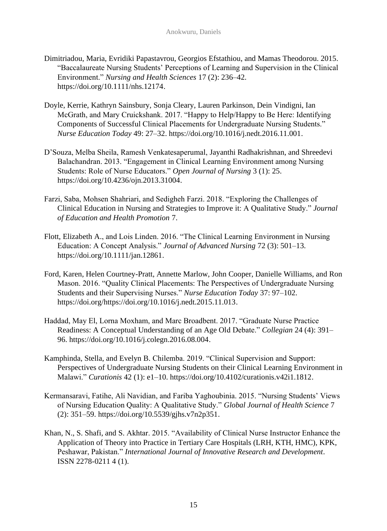- Dimitriadou, Maria, Evridiki Papastavrou, Georgios Efstathiou, and Mamas Theodorou. 2015. "Baccalaureate Nursing Students' Perceptions of Learning and Supervision in the Clinical Environment." *Nursing and Health Sciences* 17 (2): 236–42. [https://doi.org/10.1111/nhs.12174.](https://doi.org/10.1111/nhs.12174)
- Doyle, Kerrie, Kathryn Sainsbury, Sonja Cleary, Lauren Parkinson, Dein Vindigni, Ian McGrath, and Mary Cruickshank. 2017. "Happy to Help/Happy to Be Here: Identifying Components of Successful Clinical Placements for Undergraduate Nursing Students." *Nurse Education Today* 49: 27–32. [https://doi.org/10.1016/j.nedt.2016.11.001.](https://doi.org/10.1016/j.nedt.2016.11.001)
- D'Souza, Melba Sheila, Ramesh Venkatesaperumal, Jayanthi Radhakrishnan, and Shreedevi Balachandran. 2013. "Engagement in Clinical Learning Environment among Nursing Students: Role of Nurse Educators." *Open Journal of Nursing* 3 (1): 25. [https://doi.org/10.4236/ojn.2013.31004.](https://doi.org/10.4236/ojn.2013.31004)
- Farzi, Saba, Mohsen Shahriari, and Sedigheh Farzi. 2018. "Exploring the Challenges of Clinical Education in Nursing and Strategies to Improve it: A Qualitative Study." *Journal of Education and Health Promotion* 7.
- Flott, Elizabeth A., and Lois Linden. 2016. "The Clinical Learning Environment in Nursing Education: A Concept Analysis." *Journal of Advanced Nursing* 72 (3): 501–13. [https://doi.org/10.1111/jan.12861.](https://doi.org/10.1111/jan.12861)
- Ford, Karen, Helen Courtney-Pratt, Annette Marlow, John Cooper, Danielle Williams, and Ron Mason. 2016. "Quality Clinical Placements: The Perspectives of Undergraduate Nursing Students and their Supervising Nurses." *Nurse Education Today* 37: 97–102. [https://doi.org/https://doi.org/10.1016/j.nedt.2015.11.013.](https://doi.org/https:/doi.org/10.1016/j.nedt.2015.11.013)
- Haddad, May El, Lorna Moxham, and Marc Broadbent. 2017. "Graduate Nurse Practice Readiness: A Conceptual Understanding of an Age Old Debate." *Collegian* 24 (4): 391– 96[. https://doi.org/10.1016/j.colegn.2016.08.004.](https://doi.org/10.1016/j.colegn.2016.08.004)
- Kamphinda, Stella, and Evelyn B. Chilemba. 2019. "Clinical Supervision and Support: Perspectives of Undergraduate Nursing Students on their Clinical Learning Environment in Malawi." *Curationis* 42 (1): e1–10. [https://doi.org/10.4102/curationis.v42i1.1812.](https://doi.org/10.4102/curationis.v42i1.1812)
- Kermansaravi, Fatihe, Ali Navidian, and Fariba Yaghoubinia. 2015. "Nursing Students' Views of Nursing Education Quality: A Qualitative Study." *Global Journal of Health Science* 7 (2): 351–59[. https://doi.org/10.5539/gjhs.v7n2p351.](https://doi.org/10.5539/gjhs.v7n2p351)
- Khan, N., S. Shafi, and S. Akhtar. 2015. "Availability of Clinical Nurse Instructor Enhance the Application of Theory into Practice in Tertiary Care Hospitals (LRH, KTH, HMC), KPK, Peshawar, Pakistan." *International Journal of Innovative Research and Development*. ISSN 2278-0211 4 (1).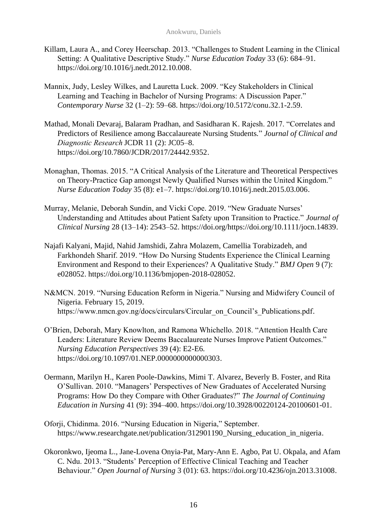- Killam, Laura A., and Corey Heerschap. 2013. "Challenges to Student Learning in the Clinical Setting: A Qualitative Descriptive Study." *Nurse Education Today* 33 (6): 684–91. [https://doi.org/10.1016/j.nedt.2012.10.008.](https://doi.org/10.1016/j.nedt.2012.10.008)
- Mannix, Judy, Lesley Wilkes, and Lauretta Luck. 2009. "Key Stakeholders in Clinical Learning and Teaching in Bachelor of Nursing Programs: A Discussion Paper." *Contemporary Nurse* 32 (1–2): 59–68[. https://doi.org/10.5172/conu.32.1-2.59.](https://doi.org/10.5172/conu.32.1-2.59)
- Mathad, Monali Devaraj, Balaram Pradhan, and Sasidharan K. Rajesh. 2017. "Correlates and Predictors of Resilience among Baccalaureate Nursing Students*.*" *Journal of Clinical and Diagnostic Research*JCDR 11 (2): JC05–8. [https://doi.org/10.7860/JCDR/2017/24442.9352.](https://doi.org/10.7860/JCDR/2017/24442.9352)
- Monaghan, Thomas. 2015. "A Critical Analysis of the Literature and Theoretical Perspectives on Theory-Practice Gap amongst Newly Qualified Nurses within the United Kingdom." *Nurse Education Today* 35 (8): e1–7. [https://doi.org/10.1016/j.nedt.2015.03.006.](https://doi.org/10.1016/j.nedt.2015.03.006)
- Murray, Melanie, Deborah Sundin, and Vicki Cope. 2019. "New Graduate Nurses' Understanding and Attitudes about Patient Safety upon Transition to Practice." *Journal of Clinical Nursing* 28 (13–14): 2543–52[. https://doi.org/https://doi.org/10.1111/jocn.14839.](https://doi.org/https:/doi.org/10.1111/jocn.14839)
- Najafi Kalyani, Majid, Nahid Jamshidi, Zahra Molazem, Camellia Torabizadeh, and Farkhondeh Sharif. 2019. "How Do Nursing Students Experience the Clinical Learning Environment and Respond to their Experiences? A Qualitative Study." *BMJ Open* 9 (7): e028052. [https://doi.org/10.1136/bmjopen-2018-028052.](https://doi.org/10.1136/bmjopen-2018-028052)
- N&MCN. 2019. "Nursing Education Reform in Nigeria." Nursing and Midwifery Council of Nigeria. February 15, 2019. [https://www.nmcn.gov.ng/docs/circulars/Circular\\_on\\_Council's\\_Publications.pdf.](https://www.nmcn.gov.ng/docs/circulars/Circular_on_Council’s_Publications.pdf)
- O'Brien, Deborah, Mary Knowlton, and Ramona Whichello. 2018. "Attention Health Care Leaders: Literature Review Deems Baccalaureate Nurses Improve Patient Outcomes." *Nursing Education Perspectives* 39 (4): E2-E6. [https://doi.org/10.1097/01.NEP.0000000000000303.](https://doi.org/10.1097/01.NEP.0000000000000303)
- Oermann, Marilyn H., Karen Poole-Dawkins, Mimi T. Alvarez, Beverly B. Foster, and Rita O'Sullivan. 2010. "Managers' Perspectives of New Graduates of Accelerated Nursing Programs: How Do they Compare with Other Graduates?" *The Journal of Continuing Education in Nursing* 41 (9): 394–400. [https://doi.org/10.3928/00220124-20100601-01.](https://doi.org/10.3928/00220124-20100601-01)
- Oforji, Chidinma. 2016. "Nursing Education in Nigeria," September. https://www.researchgate.net/publication/312901190 Nursing education in nigeria.
- Okoronkwo, Ijeoma L., Jane-Lovena Onyia-Pat, Mary-Ann E. Agbo, Pat U. Okpala, and Afam C. Ndu. 2013. "Students' Perception of Effective Clinical Teaching and Teacher Behaviour." *Open Journal of Nursing* 3 (01): 63. [https://doi.org/10.4236/ojn.2013.31008.](https://doi.org/10.4236/ojn.2013.31008)